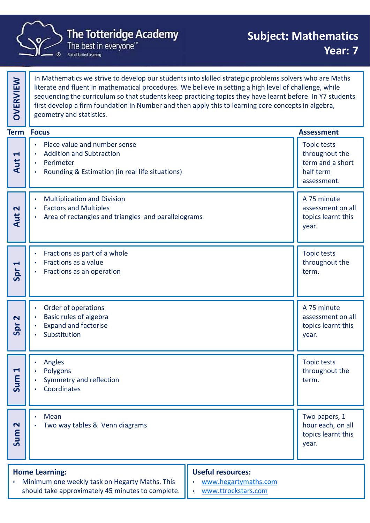

|                                | <b>The Totteridge Academy</b><br>The best in everyone <sup>™</sup><br>Part of United Learning                                                                                                                                                                                                                                                                                                                                                                    | <b>Subject: Mathematics</b><br>Year: 7                                               |  |
|--------------------------------|------------------------------------------------------------------------------------------------------------------------------------------------------------------------------------------------------------------------------------------------------------------------------------------------------------------------------------------------------------------------------------------------------------------------------------------------------------------|--------------------------------------------------------------------------------------|--|
| <b>OVERVIEW</b>                | In Mathematics we strive to develop our students into skilled strategic problems solvers who are Maths<br>literate and fluent in mathematical procedures. We believe in setting a high level of challenge, while<br>sequencing the curriculum so that students keep practicing topics they have learnt before. In Y7 students<br>first develop a firm foundation in Number and then apply this to learning core concepts in algebra,<br>geometry and statistics. |                                                                                      |  |
|                                | <b>Term Focus</b>                                                                                                                                                                                                                                                                                                                                                                                                                                                | <b>Assessment</b>                                                                    |  |
| $\blacktriangleleft$<br>Aut    | Place value and number sense<br>$\bullet$<br><b>Addition and Subtraction</b><br>$\bullet$<br>Perimeter<br>$\bullet$<br>Rounding & Estimation (in real life situations)<br>$\bullet$                                                                                                                                                                                                                                                                              | <b>Topic tests</b><br>throughout the<br>term and a short<br>half term<br>assessment. |  |
| $\mathbf{\Omega}$<br>Aut       | <b>Multiplication and Division</b><br>$\bullet$<br><b>Factors and Multiples</b><br>Area of rectangles and triangles and parallelograms<br>$\bullet$                                                                                                                                                                                                                                                                                                              | A 75 minute<br>assessment on all<br>topics learnt this<br>year.                      |  |
| $\blacktriangleleft$<br>Spr    | Fractions as part of a whole<br>$\bullet$<br>Fractions as a value<br>$\bullet$<br>Fractions as an operation<br>$\bullet$                                                                                                                                                                                                                                                                                                                                         | <b>Topic tests</b><br>throughout the<br>term.                                        |  |
| $\overline{\mathbf{N}}$<br>Spr | Order of operations<br><b>Basic rules of algebra</b><br>$\bullet$<br><b>Expand and factorise</b><br>Substitution                                                                                                                                                                                                                                                                                                                                                 | A 75 minute<br>assessment on all<br>topics learnt this<br>year.                      |  |
| $\blacktriangleleft$<br>Sum    | Angles<br>Polygons<br>Symmetry and reflection<br>Coordinates<br>$\bullet$                                                                                                                                                                                                                                                                                                                                                                                        | <b>Topic tests</b><br>throughout the<br>term.                                        |  |
| $\overline{\mathbf{C}}$<br>Sum | Mean<br>$\bullet$<br>Two way tables & Venn diagrams<br>$\bullet$                                                                                                                                                                                                                                                                                                                                                                                                 | Two papers, 1<br>hour each, on all<br>topics learnt this<br>year.                    |  |
| $\bullet$                      | <b>Useful resources:</b><br><b>Home Learning:</b><br>Minimum one weekly task on Hegarty Maths. This<br>should take approximately 45 minutes to complete.                                                                                                                                                                                                                                                                                                         | www.hegartymaths.com<br>www.ttrockstars.com                                          |  |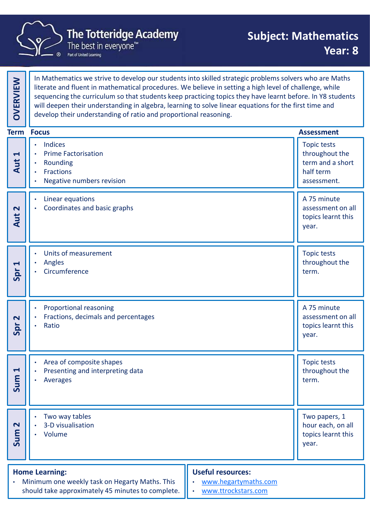

|                                | <b>The Totteridge Academy</b><br>The best in everyone <sup>™</sup><br>Part of United Learning                                                                                                                                                                                                                                                                                                                                                                                                              | <b>Subject: Mathematics</b><br>Year: 8                                               |  |
|--------------------------------|------------------------------------------------------------------------------------------------------------------------------------------------------------------------------------------------------------------------------------------------------------------------------------------------------------------------------------------------------------------------------------------------------------------------------------------------------------------------------------------------------------|--------------------------------------------------------------------------------------|--|
| OVERVIEW                       | In Mathematics we strive to develop our students into skilled strategic problems solvers who are Maths<br>literate and fluent in mathematical procedures. We believe in setting a high level of challenge, while<br>sequencing the curriculum so that students keep practicing topics they have learnt before. In Y8 students<br>will deepen their understanding in algebra, learning to solve linear equations for the first time and<br>develop their understanding of ratio and proportional reasoning. |                                                                                      |  |
|                                | <b>Term Focus</b>                                                                                                                                                                                                                                                                                                                                                                                                                                                                                          | <b>Assessment</b>                                                                    |  |
| $\blacktriangleleft$<br>Aut    | <b>Indices</b><br>٠<br><b>Prime Factorisation</b><br>$\bullet$<br>Rounding<br>Fractions<br>Negative numbers revision                                                                                                                                                                                                                                                                                                                                                                                       | <b>Topic tests</b><br>throughout the<br>term and a short<br>half term<br>assessment. |  |
| $\overline{\mathbf{C}}$<br>Aut | Linear equations<br>$\bullet$<br>Coordinates and basic graphs                                                                                                                                                                                                                                                                                                                                                                                                                                              | A 75 minute<br>assessment on all<br>topics learnt this<br>year.                      |  |
| $\blacktriangleleft$<br>Spr    | Units of measurement<br>$\bullet$<br>Angles<br>$\bullet$<br>Circumference                                                                                                                                                                                                                                                                                                                                                                                                                                  | <b>Topic tests</b><br>throughout the<br>term.                                        |  |
| $\overline{\mathbf{C}}$<br>Spr | Proportional reasoning<br>Fractions, decimals and percentages<br>Ratio<br>$\bullet$                                                                                                                                                                                                                                                                                                                                                                                                                        | A 75 minute<br>assessment on all<br>topics learnt this<br>year.                      |  |
| $\blacktriangleleft$<br>Sum    | Area of composite shapes<br>Presenting and interpreting data<br>Averages<br>$\bullet$                                                                                                                                                                                                                                                                                                                                                                                                                      | <b>Topic tests</b><br>throughout the<br>term.                                        |  |
| $\mathbf{\Omega}$<br>Sum       | Two way tables<br>3-D visualisation<br>Volume                                                                                                                                                                                                                                                                                                                                                                                                                                                              | Two papers, 1<br>hour each, on all<br>topics learnt this<br>year.                    |  |
|                                | <b>Home Learning:</b><br>Minimum one weekly task on Hegarty Maths. This<br>should take approximately 45 minutes to complete.                                                                                                                                                                                                                                                                                                                                                                               | <b>Useful resources:</b><br>www.hegartymaths.com<br>www.ttrockstars.com              |  |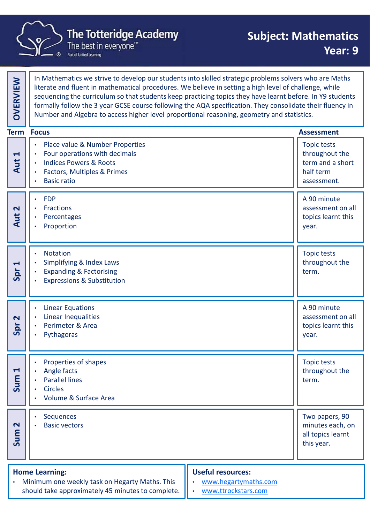

|                                                                      | <b>The Totteridge Academy</b><br>The best in everyone <sup>™</sup><br>Part of United Learning                                                                                                                                                                                                                                                                                                                                                                                                                                            | <b>Subject: Mathematics</b><br>Year: 9                                               |  |
|----------------------------------------------------------------------|------------------------------------------------------------------------------------------------------------------------------------------------------------------------------------------------------------------------------------------------------------------------------------------------------------------------------------------------------------------------------------------------------------------------------------------------------------------------------------------------------------------------------------------|--------------------------------------------------------------------------------------|--|
| <b>OVERVIEW</b>                                                      | In Mathematics we strive to develop our students into skilled strategic problems solvers who are Maths<br>literate and fluent in mathematical procedures. We believe in setting a high level of challenge, while<br>sequencing the curriculum so that students keep practicing topics they have learnt before. In Y9 students<br>formally follow the 3 year GCSE course following the AQA specification. They consolidate their fluency in<br>Number and Algebra to access higher level proportional reasoning, geometry and statistics. |                                                                                      |  |
|                                                                      | <b>Term Focus</b>                                                                                                                                                                                                                                                                                                                                                                                                                                                                                                                        | <b>Assessment</b>                                                                    |  |
| $\blacktriangleright$<br>Aut                                         | Place value & Number Properties<br>Four operations with decimals<br>$\bullet$<br><b>Indices Powers &amp; Roots</b><br>Factors, Multiples & Primes<br><b>Basic ratio</b><br>$\bullet$                                                                                                                                                                                                                                                                                                                                                     | <b>Topic tests</b><br>throughout the<br>term and a short<br>half term<br>assessment. |  |
| $\overline{\mathbf{C}}$<br>$\overline{5}$<br>$\overline{\mathbf{A}}$ | <b>FDP</b><br>$\bullet$<br>Fractions<br>Percentages<br>Proportion                                                                                                                                                                                                                                                                                                                                                                                                                                                                        | A 90 minute<br>assessment on all<br>topics learnt this<br>year.                      |  |
| $\blacktriangleleft$<br>Spr                                          | <b>Notation</b><br>$\bullet$<br>Simplifying & Index Laws<br><b>Expanding &amp; Factorising</b><br><b>Expressions &amp; Substitution</b>                                                                                                                                                                                                                                                                                                                                                                                                  | <b>Topic tests</b><br>throughout the<br>term.                                        |  |
| $\overline{\mathbf{C}}$<br>Spr                                       | <b>Linear Equations</b><br>Linear Inequalities<br>$\bullet$<br>Perimeter & Area<br>Pythagoras                                                                                                                                                                                                                                                                                                                                                                                                                                            | A 90 minute<br>assessment on all<br>topics learnt this<br>year.                      |  |
| $\blacktriangleleft$<br>Sum                                          | Properties of shapes<br>Angle facts<br><b>Parallel lines</b><br><b>Circles</b><br>Volume & Surface Area                                                                                                                                                                                                                                                                                                                                                                                                                                  | <b>Topic tests</b><br>throughout the<br>term.                                        |  |
| $\mathbf N$<br>Sum                                                   | Sequences<br><b>Basic vectors</b>                                                                                                                                                                                                                                                                                                                                                                                                                                                                                                        | Two papers, 90<br>minutes each, on<br>all topics learnt<br>this year.                |  |
|                                                                      | <b>Home Learning:</b><br>Minimum one weekly task on Hegarty Maths. This<br>should take approximately 45 minutes to complete.                                                                                                                                                                                                                                                                                                                                                                                                             | <b>Useful resources:</b><br>www.hegartymaths.com<br>www.ttrockstars.com              |  |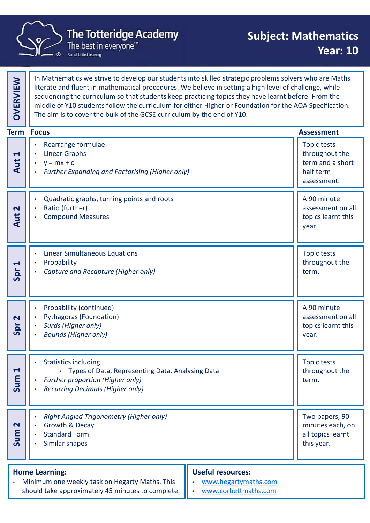

|                                | <b>The Totteridge Academy</b><br>The best in everyone <sup>™</sup><br>Part of United Learning                                                                                                                                                                                                                                                                                                                                                                                                                | <b>Subject: Mathematics</b><br><b>Year: 10</b>                                       |  |
|--------------------------------|--------------------------------------------------------------------------------------------------------------------------------------------------------------------------------------------------------------------------------------------------------------------------------------------------------------------------------------------------------------------------------------------------------------------------------------------------------------------------------------------------------------|--------------------------------------------------------------------------------------|--|
| <b>OVERVIEW</b>                | In Mathematics we strive to develop our students into skilled strategic problems solvers who are Maths<br>literate and fluent in mathematical procedures. We believe in setting a high level of challenge, while<br>sequencing the curriculum so that students keep practicing topics they have learnt before. From the<br>middle of Y10 students follow the curriculum for either Higher or Foundation for the AQA Specification.<br>The aim is to cover the bulk of the GCSE curriculum by the end of Y10. |                                                                                      |  |
|                                | <b>Term Focus</b>                                                                                                                                                                                                                                                                                                                                                                                                                                                                                            | <b>Assessment</b>                                                                    |  |
| $\blacktriangleright$<br>Aut   | Rearrange formulae<br><b>Linear Graphs</b><br>$\bullet$<br>$y = mx + c$<br><b>Further Expanding and Factorising (Higher only)</b><br>٠                                                                                                                                                                                                                                                                                                                                                                       | <b>Topic tests</b><br>throughout the<br>term and a short<br>half term<br>assessment. |  |
| $\overline{\mathbf{C}}$<br>Aut | Quadratic graphs, turning points and roots<br>Ratio (further)<br><b>Compound Measures</b>                                                                                                                                                                                                                                                                                                                                                                                                                    | A 90 minute<br>assessment on all<br>topics learnt this<br>year.                      |  |
| $\blacktriangleleft$<br>Spr    | <b>Linear Simultaneous Equations</b><br>Probability<br>Capture and Recapture (Higher only)                                                                                                                                                                                                                                                                                                                                                                                                                   | Topic tests<br>throughout the<br>term.                                               |  |
| $\overline{\mathbf{r}}$<br>Spr | Probability (continued)<br><b>Pythagoras (Foundation)</b><br>Surds (Higher only)<br><b>Bounds (Higher only)</b>                                                                                                                                                                                                                                                                                                                                                                                              | A 90 minute<br>assessment on all<br>topics learnt this<br>year.                      |  |
| $\blacktriangleleft$<br>Sum    | <b>Statistics including</b><br>• Types of Data, Representing Data, Analysing Data<br><b>Further proportion (Higher only)</b><br>$\bullet$<br><b>Recurring Decimals (Higher only)</b>                                                                                                                                                                                                                                                                                                                         | <b>Topic tests</b><br>throughout the<br>term.                                        |  |
| $\mathbf{\Omega}$<br>Sum       | <b>Right Angled Trigonometry (Higher only)</b><br><b>Growth &amp; Decay</b><br><b>Standard Form</b><br>Similar shapes                                                                                                                                                                                                                                                                                                                                                                                        | Two papers, 90<br>minutes each, on<br>all topics learnt<br>this year.                |  |
| $\bullet$                      | <b>Useful resources:</b><br><b>Home Learning:</b><br>Minimum one weekly task on Hegarty Maths. This<br>www.hegartymaths.com<br>$\bullet$<br>should take approximately 45 minutes to complete.<br>www.corbettmaths.com                                                                                                                                                                                                                                                                                        |                                                                                      |  |